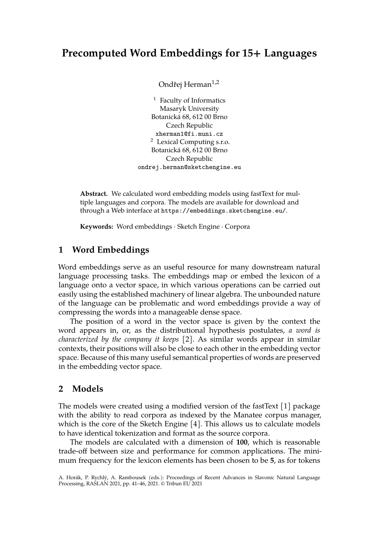# **Precomputed Word Embeddings for 15+ Languages**

Ondřej Herman<sup>1,2</sup>

1 Faculty of Informatics Masaryk University Botanická 68, 612 00 Brno Czech Republic xherman1@fi.muni.cz <sup>2</sup> Lexical Computing s.r.o. Botanická 68, 612 00 Brno Czech Republic ondrej.herman@sketchengine.eu

**Abstract.** We calculated word embedding models using fastText for multiple languages and corpora. The models are available for download and through a Web interface at https://embeddings.sketchengine.eu/.

**Keywords:** Word embeddings · Sketch Engine · Corpora

## **1 Word Embeddings**

Word embeddings serve as an useful resource for many downstream natural language processing tasks. The embeddings map or embed the lexicon of a language onto a vector space, in which various operations can be carried out easily using the established machinery of linear algebra. The unbounded nature of the language can be problematic and word embeddings provide a way of compressing the words into a manageable dense space.

The position of a word in the vector space is given by the context the word appears in, or, as the distributional hypothesis postulates, *a word is characterized by the company it keeps* [2]. As similar words appear in similar contexts, their positions will also be close to each other in the embedding vector space. Because of this many useful semantical properties of words are preserved in the embedding vector space.

## **2 Models**

The models were created using a modified version of the fastText [1] package with the ability to read corpora as indexed by the Manatee corpus manager, which is the core of the Sketch Engine [4]. This allows us to calculate models to have identical tokenization and format as the source corpora.

The models are calculated with a dimension of **100**, which is reasonable trade-off between size and performance for common applications. The minimum frequency for the lexicon elements has been chosen to be **5**, as for tokens

A. Horák, P. Rychlý, A. Rambousek (eds.): Proceedings of Recent Advances in Slavonic Natural Language Processing, RASLAN 2021, pp. 41–46, 2021. © Tribun EU 2021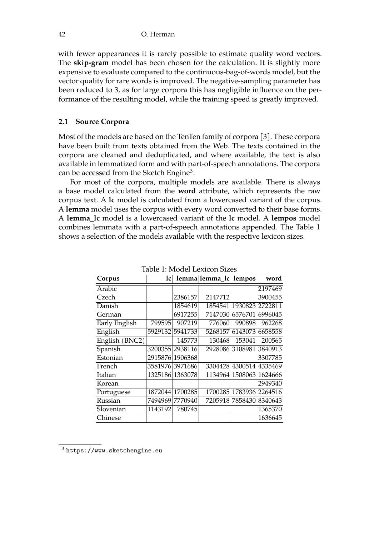42 O. Herman

with fewer appearances it is rarely possible to estimate quality word vectors. The **skip-gram** model has been chosen for the calculation. It is slightly more expensive to evaluate compared to the continuous-bag-of-words model, but the vector quality for rare words is improved. The negative-sampling parameter has been reduced to 3, as for large corpora this has negligible influence on the performance of the resulting model, while the training speed is greatly improved.

#### **2.1 Source Corpora**

Most of the models are based on the TenTen family of corpora [3]. These corpora have been built from texts obtained from the Web. The texts contained in the corpora are cleaned and deduplicated, and where available, the text is also available in lemmatized form and with part-of-speech annotations. The corpora can be accessed from the Sketch Engine<sup>3</sup>.

For most of the corpora, multiple models are available. There is always a base model calculated from the **word** attribute, which represents the raw corpus text. A **lc** model is calculated from a lowercased variant of the corpus. A **lemma** model uses the corpus with every word converted to their base forms. A **lemma\_lc** model is a lowercased variant of the **lc** model. A **lempos** model combines lemmata with a part-of-speech annotations appended. The Table 1 shows a selection of the models available with the respective lexicon sizes.

| Corpus         | c       |                 | lemma lemma_lc lempos |                 | word    |  |  |  |
|----------------|---------|-----------------|-----------------------|-----------------|---------|--|--|--|
| Arabic         |         |                 |                       |                 | 2197469 |  |  |  |
| Czech          |         | 2386157         | 2147712               |                 | 3900455 |  |  |  |
| Danish         |         | 1854619         | 1854541               | 1930823         | 2722811 |  |  |  |
| German         |         | 6917255         | 7147030               | 6576701         | 6996045 |  |  |  |
| Early English  | 799595  | 907219          | 776060                | 990898          | 962268  |  |  |  |
| English        | 5929132 | 5941733         | 5268157               | 6143073         | 6658558 |  |  |  |
| English (BNC2) |         | 145773          | 130468                | 153041          | 200565  |  |  |  |
| Spanish        |         | 3200355 2938116 | 2928086 3108981       |                 | 3840913 |  |  |  |
| Estonian       |         | 2915876 1906368 |                       |                 | 3307785 |  |  |  |
| French         |         | 3581976 3971686 |                       | 3304428 4300514 | 4335469 |  |  |  |
| Italian        |         | 1325186 1363078 |                       | 1134964 1508063 | 1624666 |  |  |  |
| Korean         |         |                 |                       |                 | 2949340 |  |  |  |
| Portuguese     |         | 1872044 1700285 |                       | 1700285 1783936 | 2264516 |  |  |  |
| Russian        | 7494969 | 7770940         |                       | 7205918 7858430 | 8340643 |  |  |  |
| Slovenian      | 1143192 | 780745          |                       |                 | 1365370 |  |  |  |
| Chinese        |         |                 |                       |                 | 1636645 |  |  |  |

Table 1: Model Lexicon Sizes

 $^3$  https://www.sketchengine.eu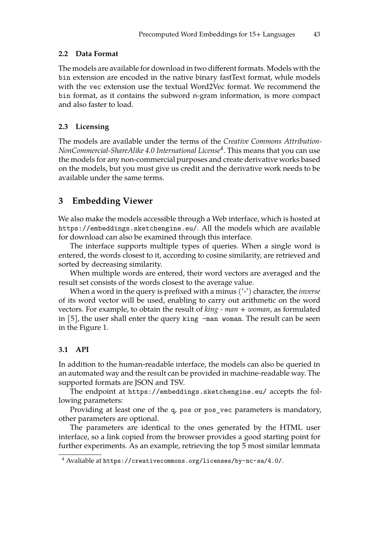#### **2.2 Data Format**

The models are available for download in two different formats. Models with the bin extension are encoded in the native binary fastText format, while models with the vec extension use the textual Word2Vec format. We recommend the bin format, as it contains the subword n-gram information, is more compact and also faster to load.

#### **2.3 Licensing**

The models are available under the terms of the *Creative Commons Attribution-NonCommercial-ShareAlike 4.0 International License*<sup>4</sup> . This means that you can use the models for any non-commercial purposes and create derivative works based on the models, but you must give us credit and the derivative work needs to be available under the same terms.

## **3 Embedding Viewer**

We also make the models accessible through a Web interface, which is hosted at https://embeddings.sketchengine.eu/. All the models which are available for download can also be examined through this interface.

The interface supports multiple types of queries. When a single word is entered, the words closest to it, according to cosine similarity, are retrieved and sorted by decreasing similarity.

When multiple words are entered, their word vectors are averaged and the result set consists of the words closest to the average value.

When a word in the query is prefixed with a minus ('-') character, the *inverse* of its word vector will be used, enabling to carry out arithmetic on the word vectors. For example, to obtain the result of *king - man + woman*, as formulated in [5], the user shall enter the query king -man woman. The result can be seen in the Figure 1.

#### **3.1 API**

In addition to the human-readable interface, the models can also be queried in an automated way and the result can be provided in machine-readable way. The supported formats are JSON and TSV.

The endpoint at https://embeddings.sketchengine.eu/ accepts the following parameters:

Providing at least one of the q, pos or pos\_vec parameters is mandatory, other parameters are optional.

The parameters are identical to the ones generated by the HTML user interface, so a link copied from the browser provides a good starting point for further experiments. As an example, retrieving the top 5 most similar lemmata

<sup>4</sup> Avaliable at https://creativecommons.org/licenses/by-nc-sa/4.0/.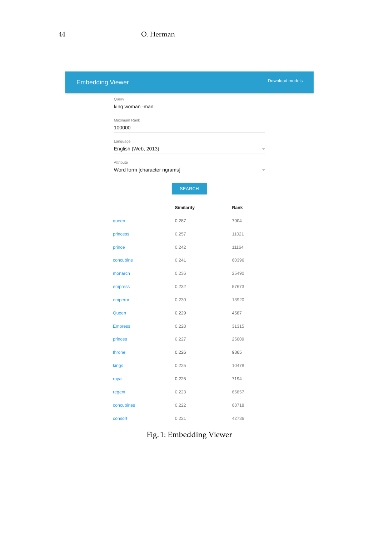## 44 O. Herman

| <b>Embedding Viewer</b> |                                           |               |                         | Download models |
|-------------------------|-------------------------------------------|---------------|-------------------------|-----------------|
|                         | Query<br>king woman -man                  |               |                         |                 |
|                         | Maximum Rank<br>100000                    |               |                         |                 |
|                         | Language<br>English (Web, 2013)           |               | $\overline{\mathbf{v}}$ |                 |
|                         | Attribute<br>Word form [character ngrams] |               | $\overline{\mathbf{v}}$ |                 |
|                         |                                           | <b>SEARCH</b> |                         |                 |
|                         |                                           | Similarity    | Rank                    |                 |
|                         | queen                                     | 0.287         | 7904                    |                 |
|                         | princess                                  | 0.257         | 11021                   |                 |
|                         | prince                                    | 0.242         | 11164                   |                 |
|                         | concubine                                 | 0.241         | 60396                   |                 |
|                         | monarch                                   | 0.236         | 25490                   |                 |
|                         | empress                                   | 0.232         | 57673                   |                 |
|                         | emperor                                   | 0.230         | 13920                   |                 |
|                         | Queen                                     | 0.229         | 4587                    |                 |
|                         | <b>Empress</b>                            | 0.228         | 31315                   |                 |
|                         | princes                                   | 0.227         | 25009                   |                 |
|                         | throne                                    | 0.226         | 9865                    |                 |
|                         | kings                                     | 0.225         | 10478                   |                 |
|                         | royal                                     | 0.225         | 7194                    |                 |
|                         | regent                                    | 0.223         | 66857                   |                 |
|                         | concubines                                | 0.222         | 68718                   |                 |
|                         | consort                                   | 0.221         | 42736                   |                 |
|                         |                                           |               |                         |                 |

## Fig. 1: Embedding Viewer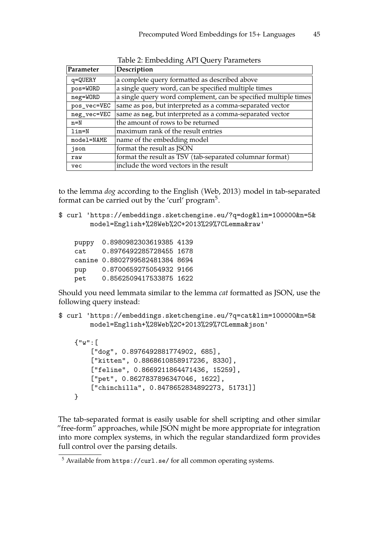| Parameter   | Description                                                     |
|-------------|-----------------------------------------------------------------|
| $q = QUERY$ | a complete query formatted as described above                   |
| pos=WORD    | a single query word, can be specified multiple times            |
| neg=WORD    | a single query word complement, can be specified multiple times |
| pos_vec=VEC | same as pos, but interpreted as a comma-separated vector        |
| neg_vec=VEC | same as neg, but interpreted as a comma-separated vector        |
| $n=N$       | the amount of rows to be returned                               |
| $lim=N$     | maximum rank of the result entries                              |
| model=NAME  | name of the embedding model                                     |
| json        | format the result as JSON                                       |
| raw         | format the result as TSV (tab-separated columnar format)        |
| vec         | include the word vectors in the result                          |

Table 2: Embedding API Query Parameters

to the lemma *dog* according to the English (Web, 2013) model in tab-separated format can be carried out by the 'curl' program $^5$ .

```
$ curl 'https://embeddings.sketchengine.eu/?q=dog&lim=100000&n=5&
        model=English+%28Web%2C+2013%29%7CLemma&raw'
```

| puppy | 0.8980982303619385 4139        |  |
|-------|--------------------------------|--|
| cat   | 0.8976492285728455 1678        |  |
|       | canine 0.8802799582481384 8694 |  |
| pup   | 0.8700659275054932 9166        |  |
| pet   | 0.8562509417533875 1622        |  |

Should you need lemmata similar to the lemma *cat* formatted as JSON, use the following query instead:

```
$ curl 'https://embeddings.sketchengine.eu/?q=cat&lim=100000&n=5&
       model=English+%28Web%2C+2013%29%7CLemma&json'
```

```
{"w":[
    ["dog", 0.8976492881774902, 685],
    ["kitten", 0.8868610858917236, 8330],
    ["feline", 0.8669211864471436, 15259],
    ["pet", 0.8627837896347046, 1622],
    ["chinchilla", 0.8478652834892273, 51731]]
}
```
The tab-separated format is easily usable for shell scripting and other similar "free-form" approaches, while JSON might be more appropriate for integration into more complex systems, in which the regular standardized form provides full control over the parsing details.

<sup>5</sup> Available from https://curl.se/ for all common operating systems.